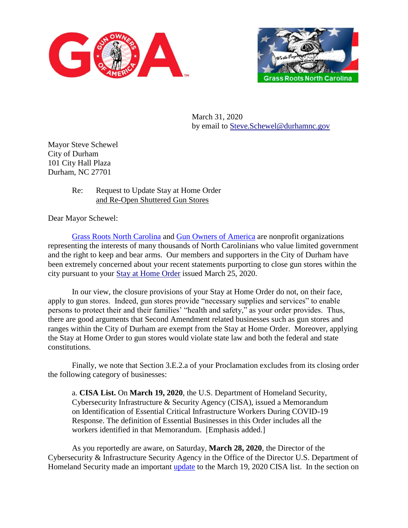



March 31, 2020 by email to [Steve.Schewel@durhamnc.gov](mailto:Steve.Schewel@durhamnc.gov)

Mayor Steve Schewel City of Durham 101 City Hall Plaza Durham, NC 27701

## Re: Request to Update Stay at Home Order and Re-Open Shuttered Gun Stores

Dear Mayor Schewel:

[Grass Roots North Carolina](https://www.grnc.org/) and [Gun Owners of America](https://gunowners.org/) are nonprofit organizations representing the interests of many thousands of North Carolinians who value limited government and the right to keep and bear arms. Our members and supporters in the City of Durham have been extremely concerned about your recent statements purporting to close gun stores within the city pursuant to your [Stay at Home Order](https://durhamnc.gov/DocumentCenter/View/30043/City-of-Durham-Mayor-Emergency-Dec-Second-Amdmt-3-25-20_FINAL) issued March 25, 2020.

In our view, the closure provisions of your Stay at Home Order do not, on their face, apply to gun stores. Indeed, gun stores provide "necessary supplies and services" to enable persons to protect their and their families' "health and safety," as your order provides. Thus, there are good arguments that Second Amendment related businesses such as gun stores and ranges within the City of Durham are exempt from the Stay at Home Order. Moreover, applying the Stay at Home Order to gun stores would violate state law and both the federal and state constitutions.

Finally, we note that Section 3.E.2.a of your Proclamation excludes from its closing order the following category of businesses:

a. **CISA List.** On **March 19, 2020**, the U.S. Department of Homeland Security, Cybersecurity Infrastructure & Security Agency (CISA), issued a Memorandum on Identification of Essential Critical Infrastructure Workers During COVID-19 Response. The definition of Essential Businesses in this Order includes all the workers identified in that Memorandum. [Emphasis added.]

As you reportedly are aware, on Saturday, **March 28, 2020**, the Director of the Cybersecurity & Infrastructure Security Agency in the Office of the Director U.S. Department of Homeland Security made an important [update](https://www.cisa.gov/sites/default/files/publications/CISA_Guidance_on_the_Essential_Critical_Infrastructure_Workforce_Version_) to the March 19, 2020 CISA list. In the section on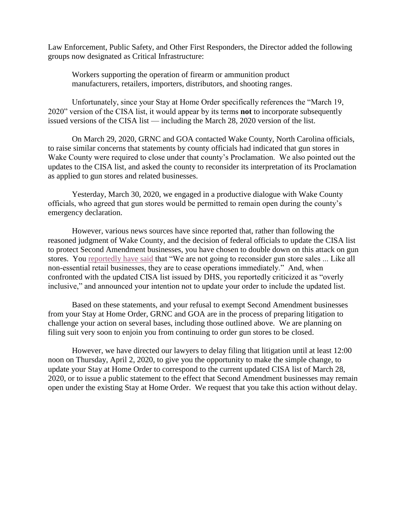Law Enforcement, Public Safety, and Other First Responders, the Director added the following groups now designated as Critical Infrastructure:

Workers supporting the operation of firearm or ammunition product manufacturers, retailers, importers, distributors, and shooting ranges.

Unfortunately, since your Stay at Home Order specifically references the "March 19, 2020" version of the CISA list, it would appear by its terms **not** to incorporate subsequently issued versions of the CISA list — including the March 28, 2020 version of the list.

On March 29, 2020, GRNC and GOA contacted Wake County, North Carolina officials, to raise similar concerns that statements by county officials had indicated that gun stores in Wake County were required to close under that county's Proclamation. We also pointed out the updates to the CISA list, and asked the county to reconsider its interpretation of its Proclamation as applied to gun stores and related businesses.

Yesterday, March 30, 2020, we engaged in a productive dialogue with Wake County officials, who agreed that gun stores would be permitted to remain open during the county's emergency declaration.

However, various news sources have since reported that, rather than following the reasoned judgment of Wake County, and the decision of federal officials to update the CISA list to protect Second Amendment businesses, you have chosen to double down on this attack on gun stores. You [reportedly have said](https://www.newsobserver.com/news/coronavirus/article241626921.html) that "We are not going to reconsider gun store sales ... Like all non-essential retail businesses, they are to cease operations immediately." And, when confronted with the updated CISA list issued by DHS, you reportedly criticized it as "overly inclusive," and announced your intention not to update your order to include the updated list.

Based on these statements, and your refusal to exempt Second Amendment businesses from your Stay at Home Order, GRNC and GOA are in the process of preparing litigation to challenge your action on several bases, including those outlined above. We are planning on filing suit very soon to enjoin you from continuing to order gun stores to be closed.

However, we have directed our lawyers to delay filing that litigation until at least 12:00 noon on Thursday, April 2, 2020, to give you the opportunity to make the simple change, to update your Stay at Home Order to correspond to the current updated CISA list of March 28, 2020, or to issue a public statement to the effect that Second Amendment businesses may remain open under the existing Stay at Home Order. We request that you take this action without delay.